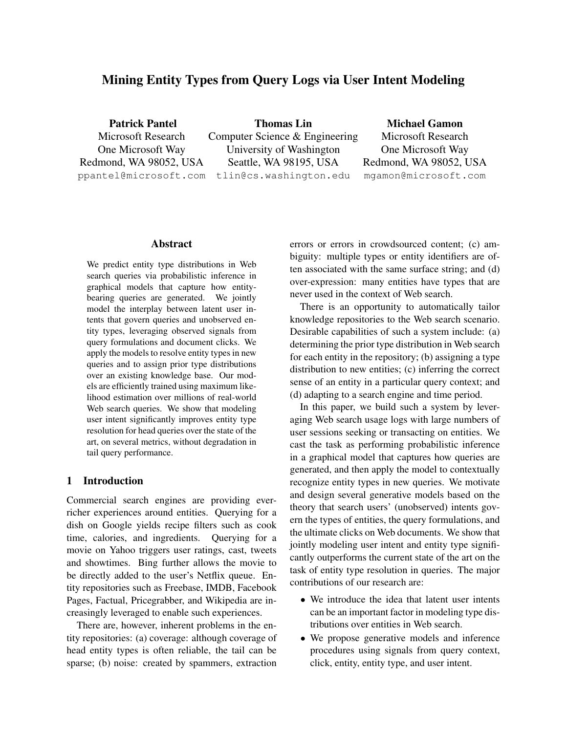# Mining Entity Types from Query Logs via User Intent Modeling

Patrick Pantel Microsoft Research One Microsoft Way Redmond, WA 98052, USA ppantel@microsoft.com tlin@cs.washington.edu Thomas Lin Computer Science & Engineering University of Washington Seattle, WA 98195, USA Michael Gamon Microsoft Research One Microsoft Way Redmond, WA 98052, USA mgamon@microsoft.com

### Abstract

We predict entity type distributions in Web search queries via probabilistic inference in graphical models that capture how entitybearing queries are generated. We jointly model the interplay between latent user intents that govern queries and unobserved entity types, leveraging observed signals from query formulations and document clicks. We apply the models to resolve entity types in new queries and to assign prior type distributions over an existing knowledge base. Our models are efficiently trained using maximum likelihood estimation over millions of real-world Web search queries. We show that modeling user intent significantly improves entity type resolution for head queries over the state of the art, on several metrics, without degradation in tail query performance.

## 1 Introduction

Commercial search engines are providing everricher experiences around entities. Querying for a dish on Google yields recipe filters such as cook time, calories, and ingredients. Querying for a movie on Yahoo triggers user ratings, cast, tweets and showtimes. Bing further allows the movie to be directly added to the user's Netflix queue. Entity repositories such as Freebase, IMDB, Facebook Pages, Factual, Pricegrabber, and Wikipedia are increasingly leveraged to enable such experiences.

There are, however, inherent problems in the entity repositories: (a) coverage: although coverage of head entity types is often reliable, the tail can be sparse; (b) noise: created by spammers, extraction errors or errors in crowdsourced content; (c) ambiguity: multiple types or entity identifiers are often associated with the same surface string; and (d) over-expression: many entities have types that are never used in the context of Web search.

There is an opportunity to automatically tailor knowledge repositories to the Web search scenario. Desirable capabilities of such a system include: (a) determining the prior type distribution in Web search for each entity in the repository; (b) assigning a type distribution to new entities; (c) inferring the correct sense of an entity in a particular query context; and (d) adapting to a search engine and time period.

In this paper, we build such a system by leveraging Web search usage logs with large numbers of user sessions seeking or transacting on entities. We cast the task as performing probabilistic inference in a graphical model that captures how queries are generated, and then apply the model to contextually recognize entity types in new queries. We motivate and design several generative models based on the theory that search users' (unobserved) intents govern the types of entities, the query formulations, and the ultimate clicks on Web documents. We show that jointly modeling user intent and entity type significantly outperforms the current state of the art on the task of entity type resolution in queries. The major contributions of our research are:

- We introduce the idea that latent user intents can be an important factor in modeling type distributions over entities in Web search.
- We propose generative models and inference procedures using signals from query context, click, entity, entity type, and user intent.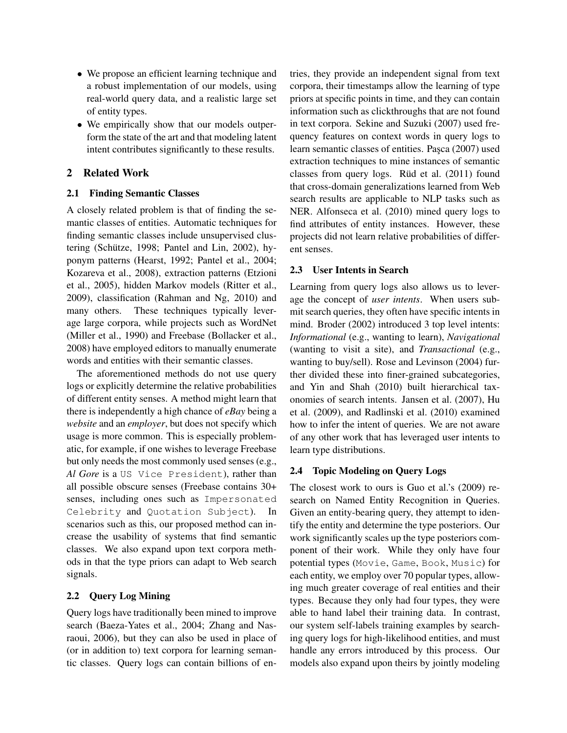- We propose an efficient learning technique and a robust implementation of our models, using real-world query data, and a realistic large set of entity types.
- We empirically show that our models outperform the state of the art and that modeling latent intent contributes significantly to these results.

## 2 Related Work

## 2.1 Finding Semantic Classes

A closely related problem is that of finding the semantic classes of entities. Automatic techniques for finding semantic classes include unsupervised clustering (Schütze, 1998; Pantel and Lin, 2002), hyponym patterns (Hearst, 1992; Pantel et al., 2004; Kozareva et al., 2008), extraction patterns (Etzioni et al., 2005), hidden Markov models (Ritter et al., 2009), classification (Rahman and Ng, 2010) and many others. These techniques typically leverage large corpora, while projects such as WordNet (Miller et al., 1990) and Freebase (Bollacker et al., 2008) have employed editors to manually enumerate words and entities with their semantic classes.

The aforementioned methods do not use query logs or explicitly determine the relative probabilities of different entity senses. A method might learn that there is independently a high chance of *eBay* being a *website* and an *employer*, but does not specify which usage is more common. This is especially problematic, for example, if one wishes to leverage Freebase but only needs the most commonly used senses (e.g., *Al Gore* is a US Vice President), rather than all possible obscure senses (Freebase contains 30+ senses, including ones such as Impersonated Celebrity and Quotation Subject). In scenarios such as this, our proposed method can increase the usability of systems that find semantic classes. We also expand upon text corpora methods in that the type priors can adapt to Web search signals.

## 2.2 Query Log Mining

Query logs have traditionally been mined to improve search (Baeza-Yates et al., 2004; Zhang and Nasraoui, 2006), but they can also be used in place of (or in addition to) text corpora for learning semantic classes. Query logs can contain billions of entries, they provide an independent signal from text corpora, their timestamps allow the learning of type priors at specific points in time, and they can contain information such as clickthroughs that are not found in text corpora. Sekine and Suzuki (2007) used frequency features on context words in query logs to learn semantic classes of entities. Pasca (2007) used extraction techniques to mine instances of semantic classes from query logs. Rüd et al.  $(2011)$  found that cross-domain generalizations learned from Web search results are applicable to NLP tasks such as NER. Alfonseca et al. (2010) mined query logs to find attributes of entity instances. However, these projects did not learn relative probabilities of different senses.

## 2.3 User Intents in Search

Learning from query logs also allows us to leverage the concept of *user intents*. When users submit search queries, they often have specific intents in mind. Broder (2002) introduced 3 top level intents: *Informational* (e.g., wanting to learn), *Navigational* (wanting to visit a site), and *Transactional* (e.g., wanting to buy/sell). Rose and Levinson (2004) further divided these into finer-grained subcategories, and Yin and Shah (2010) built hierarchical taxonomies of search intents. Jansen et al. (2007), Hu et al. (2009), and Radlinski et al. (2010) examined how to infer the intent of queries. We are not aware of any other work that has leveraged user intents to learn type distributions.

# 2.4 Topic Modeling on Query Logs

The closest work to ours is Guo et al.'s (2009) research on Named Entity Recognition in Queries. Given an entity-bearing query, they attempt to identify the entity and determine the type posteriors. Our work significantly scales up the type posteriors component of their work. While they only have four potential types (Movie, Game, Book, Music) for each entity, we employ over 70 popular types, allowing much greater coverage of real entities and their types. Because they only had four types, they were able to hand label their training data. In contrast, our system self-labels training examples by searching query logs for high-likelihood entities, and must handle any errors introduced by this process. Our models also expand upon theirs by jointly modeling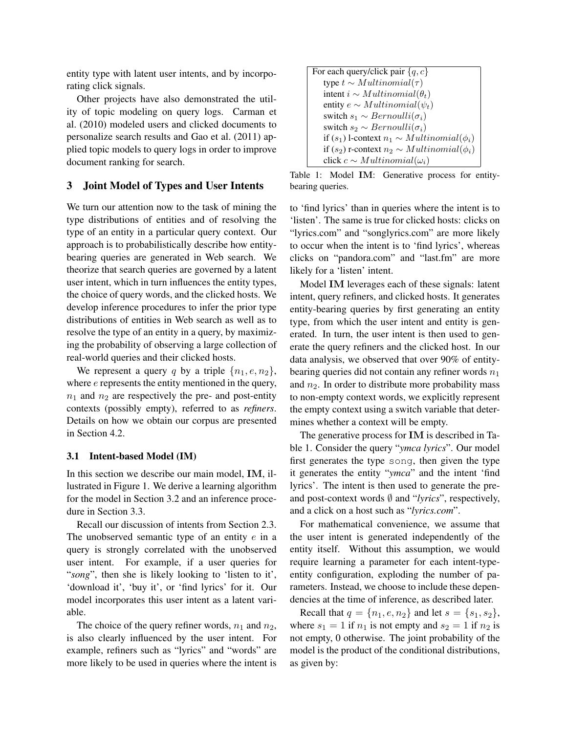entity type with latent user intents, and by incorporating click signals.

Other projects have also demonstrated the utility of topic modeling on query logs. Carman et al. (2010) modeled users and clicked documents to personalize search results and Gao et al. (2011) applied topic models to query logs in order to improve document ranking for search.

### 3 Joint Model of Types and User Intents

We turn our attention now to the task of mining the type distributions of entities and of resolving the type of an entity in a particular query context. Our approach is to probabilistically describe how entitybearing queries are generated in Web search. We theorize that search queries are governed by a latent user intent, which in turn influences the entity types, the choice of query words, and the clicked hosts. We develop inference procedures to infer the prior type distributions of entities in Web search as well as to resolve the type of an entity in a query, by maximizing the probability of observing a large collection of real-world queries and their clicked hosts.

We represent a query q by a triple  $\{n_1, e, n_2\}$ , where  $e$  represents the entity mentioned in the query,  $n_1$  and  $n_2$  are respectively the pre- and post-entity contexts (possibly empty), referred to as *refiners*. Details on how we obtain our corpus are presented in Section 4.2.

#### 3.1 Intent-based Model (IM)

In this section we describe our main model, IM, illustrated in Figure 1. We derive a learning algorithm for the model in Section 3.2 and an inference procedure in Section 3.3.

Recall our discussion of intents from Section 2.3. The unobserved semantic type of an entity  $e$  in a query is strongly correlated with the unobserved user intent. For example, if a user queries for "*song*", then she is likely looking to 'listen to it', 'download it', 'buy it', or 'find lyrics' for it. Our model incorporates this user intent as a latent variable.

The choice of the query refiner words,  $n_1$  and  $n_2$ , is also clearly influenced by the user intent. For example, refiners such as "lyrics" and "words" are more likely to be used in queries where the intent is

| For each query/click pair $\{q, c\}$                |
|-----------------------------------------------------|
| type $t \sim Multinomial(\tau)$                     |
| intent $i \sim Multinomial(\theta_t)$               |
| entity $e \sim Multinomial(\psi_t)$                 |
| switch $s_1 \sim Bernoulli(\sigma_i)$               |
| switch $s_2 \sim Bernoulli(\sigma_i)$               |
| if $(s_1)$ l-context $n_1 \sim Multinomial(\phi_i)$ |
| if $(s_2)$ r-context $n_2 \sim Multinomial(\phi_i)$ |
| click $c \sim Multinomial(\omega_i)$                |

Table 1: Model IM: Generative process for entitybearing queries.

to 'find lyrics' than in queries where the intent is to 'listen'. The same is true for clicked hosts: clicks on "lyrics.com" and "songlyrics.com" are more likely to occur when the intent is to 'find lyrics', whereas clicks on "pandora.com" and "last.fm" are more likely for a 'listen' intent.

Model IM leverages each of these signals: latent intent, query refiners, and clicked hosts. It generates entity-bearing queries by first generating an entity type, from which the user intent and entity is generated. In turn, the user intent is then used to generate the query refiners and the clicked host. In our data analysis, we observed that over 90% of entitybearing queries did not contain any refiner words  $n_1$ and  $n_2$ . In order to distribute more probability mass to non-empty context words, we explicitly represent the empty context using a switch variable that determines whether a context will be empty.

The generative process for IM is described in Table 1. Consider the query "*ymca lyrics*". Our model first generates the type song, then given the type it generates the entity "*ymca*" and the intent 'find lyrics'. The intent is then used to generate the preand post-context words ∅ and "*lyrics*", respectively, and a click on a host such as "*lyrics.com*".

For mathematical convenience, we assume that the user intent is generated independently of the entity itself. Without this assumption, we would require learning a parameter for each intent-typeentity configuration, exploding the number of parameters. Instead, we choose to include these dependencies at the time of inference, as described later.

Recall that  $q = \{n_1, e, n_2\}$  and let  $s = \{s_1, s_2\}$ , where  $s_1 = 1$  if  $n_1$  is not empty and  $s_2 = 1$  if  $n_2$  is not empty, 0 otherwise. The joint probability of the model is the product of the conditional distributions, as given by: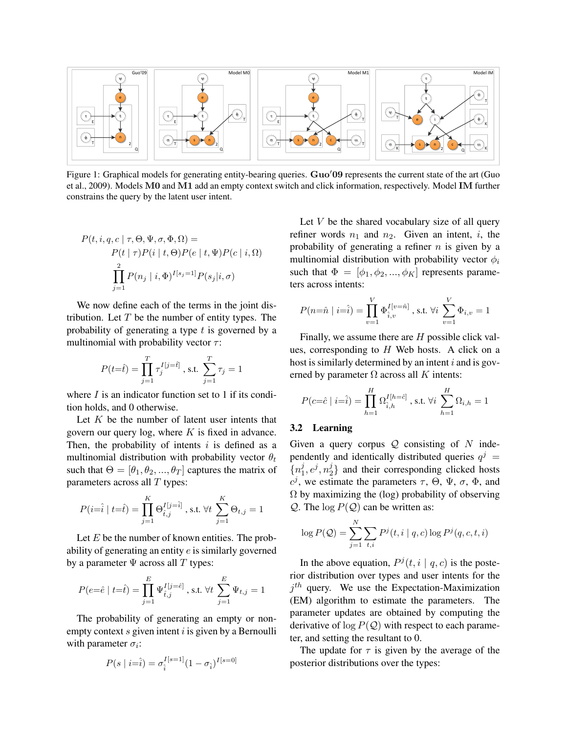

Figure 1: Graphical models for generating entity-bearing queries.  $GuO/09$  represents the current state of the art (Guo et al., 2009). Models M0 and M1 add an empty context switch and click information, respectively. Model IM further constrains the query by the latent user intent.

$$
P(t, i, q, c | \tau, \Theta, \Psi, \sigma, \Phi, \Omega) =
$$
  
\n
$$
P(t | \tau) P(i | t, \Theta) P(e | t, \Psi) P(c | i, \Omega)
$$
  
\n
$$
\prod_{j=1}^{2} P(n_j | i, \Phi)^{I[s_j=1]} P(s_j | i, \sigma)
$$

We now define each of the terms in the joint distribution. Let  $T$  be the number of entity types. The probability of generating a type  $t$  is governed by a multinomial with probability vector  $\tau$ :

$$
P(t=\hat{t}) = \prod_{j=1}^{T} \tau_j^{I[j=\hat{t}]} , \text{ s.t. } \sum_{j=1}^{T} \tau_j = 1
$$

where  $\bar{I}$  is an indicator function set to 1 if its condition holds, and 0 otherwise.

Let  $K$  be the number of latent user intents that govern our query log, where  $K$  is fixed in advance. Then, the probability of intents  $i$  is defined as a multinomial distribution with probability vector  $\theta_t$ such that  $\Theta = [\theta_1, \theta_2, ..., \theta_T]$  captures the matrix of parameters across all  $T$  types:

$$
P(i=\hat{i} | t=\hat{t}) = \prod_{j=1}^{K} \Theta_{\hat{t},j}^{I[j=\hat{i}]} \text{, s.t. } \forall t \sum_{j=1}^{K} \Theta_{t,j} = 1
$$

Let  $E$  be the number of known entities. The probability of generating an entity e is similarly governed by a parameter  $\Psi$  across all T types:

$$
P(e=\hat{e} \mid t=\hat{t}) = \prod_{j=1}^{E} \Psi_{\hat{t},j}^{I[j=\hat{e}]} \text{ , s.t. } \forall t \; \sum_{j=1}^{E} \Psi_{t,j} = 1
$$

The probability of generating an empty or nonempty context  $s$  given intent  $i$  is given by a Bernoulli with parameter  $\sigma_i$ :

$$
P(s \mid i = \hat{i}) = \sigma_i^{I[s=1]} (1 - \sigma_{\hat{i}})^{I[s=0]}
$$

Let  $V$  be the shared vocabulary size of all query refiner words  $n_1$  and  $n_2$ . Given an intent, i, the probability of generating a refiner  $n$  is given by a multinomial distribution with probability vector  $\phi_i$ such that  $\Phi = [\phi_1, \phi_2, ..., \phi_K]$  represents parameters across intents:

$$
P(n=\hat{n} | i=\hat{i}) = \prod_{v=1}^{V} \Phi_{\hat{i},v}^{I[v=\hat{n}]} , \text{s.t. } \forall i \sum_{v=1}^{V} \Phi_{i,v} = 1
$$

Finally, we assume there are  $H$  possible click values, corresponding to  $H$  Web hosts. A click on a host is similarly determined by an intent  $i$  and is governed by parameter  $\Omega$  across all K intents:

$$
P(c=\hat{c} \mid i=\hat{i}) = \prod_{h=1}^{H} \Omega_{\hat{i},h}^{I[h=\hat{c}]} \text{ , s.t. } \forall i \sum_{h=1}^{H} \Omega_{i,h} = 1
$$

## 3.2 Learning

Given a query corpus  $Q$  consisting of N independently and identically distributed queries  $q^j$  =  $\{n_1^j$  $j, e^j, n_2^j$  $2<sup>1</sup>$  and their corresponding clicked hosts  $c^j$ , we estimate the parameters  $\tau$ ,  $\Theta$ ,  $\Psi$ ,  $\sigma$ ,  $\Phi$ , and  $\Omega$  by maximizing the (log) probability of observing Q. The  $\log P(Q)$  can be written as:

$$
\log P(Q) = \sum_{j=1}^{N} \sum_{t,i} P^{j}(t, i | q, c) \log P^{j}(q, c, t, i)
$$

In the above equation,  $P^{j}(t, i | q, c)$  is the posterior distribution over types and user intents for the  $j<sup>th</sup>$  query. We use the Expectation-Maximization (EM) algorithm to estimate the parameters. The parameter updates are obtained by computing the derivative of  $\log P(Q)$  with respect to each parameter, and setting the resultant to 0.

The update for  $\tau$  is given by the average of the posterior distributions over the types: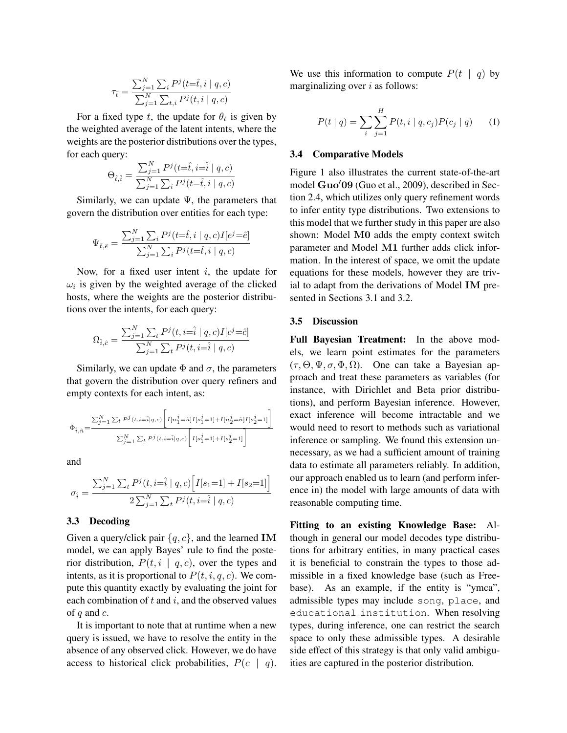$$
\tau_{\hat{t}} = \frac{\sum_{j=1}^N\sum_i P^j(t\text{=}\hat{t},i\mid q,c)}{\sum_{j=1}^N\sum_{t,i} P^j(t,i\mid q,c)}
$$

For a fixed type t, the update for  $\theta_t$  is given by the weighted average of the latent intents, where the weights are the posterior distributions over the types, for each query:

$$
\Theta_{\hat{t},\hat{i}} = \frac{\sum_{j=1}^{N} P^j(t=\hat{t}, i=\hat{i} \mid q, c)}{\sum_{j=1}^{N} \sum_{i} P^j(t=\hat{t}, i \mid q, c)}
$$

Similarly, we can update  $\Psi$ , the parameters that govern the distribution over entities for each type:

$$
\Psi_{\hat{t},\hat{e}} = \frac{\sum_{j=1}^{N} \sum_{i} P^j(t=\hat{t}, i \mid q, c) I[e^j = \hat{e}]}{\sum_{j=1}^{N} \sum_{i} P^j(t=\hat{t}, i \mid q, c)}
$$

Now, for a fixed user intent  $i$ , the update for  $\omega_i$  is given by the weighted average of the clicked hosts, where the weights are the posterior distributions over the intents, for each query:

$$
\Omega_{\hat{i},\hat{c}} = \frac{\sum_{j=1}^{N} \sum_{t} P^{j}(t, i=\hat{i} \mid q, c) I[c^{j}=\hat{c}]}{\sum_{j=1}^{N} \sum_{t} P^{j}(t, i=\hat{i} \mid q, c)}
$$

Similarly, we can update  $\Phi$  and  $\sigma$ , the parameters that govern the distribution over query refiners and empty contexts for each intent, as:

$$
\Phi_{\hat{i},\hat{n}} \!=\! \frac{\sum_{j=1}^N \sum_{t} P^j(t,i=\!\hat{i}|q,c) \Bigg[ I[n_1^j\!=\!\hat{n}] I[s_1^j\!=\!1] \!+\! I[n_2^j\!=\!\hat{n}] I[s_2^j\!=\!1] \Bigg]}{\sum_{j=1}^N \sum_{t} P^j(t,i=\!\hat{i}|q,c) \Bigg[ I[s_1^j\!=\!1] \!+\! I[s_2^j\!=\!1] \Bigg]} \label{eq:Phi_i_n}
$$

and

$$
\sigma_{\hat{i}} = \frac{\sum_{j=1}^{N} \sum_{t} P^{j}(t, i=\hat{i} \mid q, c) \Big[ I[s_1=1] + I[s_2=1] \Big]}{2 \sum_{j=1}^{N} \sum_{t} P^{j}(t, i=\hat{i} \mid q, c)}
$$

#### 3.3 Decoding

Given a query/click pair  $\{q, c\}$ , and the learned **IM** model, we can apply Bayes' rule to find the posterior distribution,  $P(t, i | q, c)$ , over the types and intents, as it is proportional to  $P(t, i, q, c)$ . We compute this quantity exactly by evaluating the joint for each combination of  $t$  and  $i$ , and the observed values of  $q$  and  $c$ .

It is important to note that at runtime when a new query is issued, we have to resolve the entity in the absence of any observed click. However, we do have access to historical click probabilities,  $P(c \mid q)$ . We use this information to compute  $P(t | q)$  by marginalizing over  $i$  as follows:

$$
P(t | q) = \sum_{i} \sum_{j=1}^{H} P(t, i | q, c_j) P(c_j | q)
$$
 (1)

#### 3.4 Comparative Models

Figure 1 also illustrates the current state-of-the-art model Guo'09 (Guo et al., 2009), described in Section 2.4, which utilizes only query refinement words to infer entity type distributions. Two extensions to this model that we further study in this paper are also shown: Model M0 adds the empty context switch parameter and Model M1 further adds click information. In the interest of space, we omit the update equations for these models, however they are trivial to adapt from the derivations of Model IM presented in Sections 3.1 and 3.2.

### 3.5 Discussion

Full Bayesian Treatment: In the above models, we learn point estimates for the parameters  $(\tau, \Theta, \Psi, \sigma, \Phi, \Omega)$ . One can take a Bayesian approach and treat these parameters as variables (for instance, with Dirichlet and Beta prior distributions), and perform Bayesian inference. However, exact inference will become intractable and we would need to resort to methods such as variational inference or sampling. We found this extension unnecessary, as we had a sufficient amount of training data to estimate all parameters reliably. In addition, our approach enabled us to learn (and perform inference in) the model with large amounts of data with reasonable computing time.

Fitting to an existing Knowledge Base: Although in general our model decodes type distributions for arbitrary entities, in many practical cases it is beneficial to constrain the types to those admissible in a fixed knowledge base (such as Freebase). As an example, if the entity is "ymca", admissible types may include song, place, and educational institution. When resolving types, during inference, one can restrict the search space to only these admissible types. A desirable side effect of this strategy is that only valid ambiguities are captured in the posterior distribution.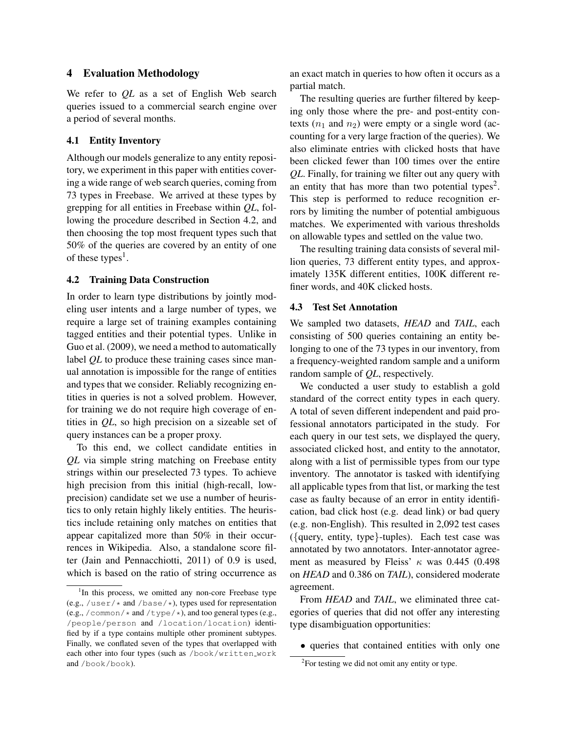## 4 Evaluation Methodology

We refer to *QL* as a set of English Web search queries issued to a commercial search engine over a period of several months.

## 4.1 Entity Inventory

Although our models generalize to any entity repository, we experiment in this paper with entities covering a wide range of web search queries, coming from 73 types in Freebase. We arrived at these types by grepping for all entities in Freebase within *QL*, following the procedure described in Section 4.2, and then choosing the top most frequent types such that 50% of the queries are covered by an entity of one of these types<sup>1</sup>.

## 4.2 Training Data Construction

In order to learn type distributions by jointly modeling user intents and a large number of types, we require a large set of training examples containing tagged entities and their potential types. Unlike in Guo et al. (2009), we need a method to automatically label *QL* to produce these training cases since manual annotation is impossible for the range of entities and types that we consider. Reliably recognizing entities in queries is not a solved problem. However, for training we do not require high coverage of entities in *QL*, so high precision on a sizeable set of query instances can be a proper proxy.

To this end, we collect candidate entities in *QL* via simple string matching on Freebase entity strings within our preselected 73 types. To achieve high precision from this initial (high-recall, lowprecision) candidate set we use a number of heuristics to only retain highly likely entities. The heuristics include retaining only matches on entities that appear capitalized more than 50% in their occurrences in Wikipedia. Also, a standalone score filter (Jain and Pennacchiotti, 2011) of 0.9 is used, which is based on the ratio of string occurrence as

an exact match in queries to how often it occurs as a partial match.

The resulting queries are further filtered by keeping only those where the pre- and post-entity contexts  $(n_1$  and  $n_2)$  were empty or a single word (accounting for a very large fraction of the queries). We also eliminate entries with clicked hosts that have been clicked fewer than 100 times over the entire *QL*. Finally, for training we filter out any query with an entity that has more than two potential types<sup>2</sup>. This step is performed to reduce recognition errors by limiting the number of potential ambiguous matches. We experimented with various thresholds on allowable types and settled on the value two.

The resulting training data consists of several million queries, 73 different entity types, and approximately 135K different entities, 100K different refiner words, and 40K clicked hosts.

#### 4.3 Test Set Annotation

We sampled two datasets, *HEAD* and *TAIL*, each consisting of 500 queries containing an entity belonging to one of the 73 types in our inventory, from a frequency-weighted random sample and a uniform random sample of *QL*, respectively.

We conducted a user study to establish a gold standard of the correct entity types in each query. A total of seven different independent and paid professional annotators participated in the study. For each query in our test sets, we displayed the query, associated clicked host, and entity to the annotator, along with a list of permissible types from our type inventory. The annotator is tasked with identifying all applicable types from that list, or marking the test case as faulty because of an error in entity identification, bad click host (e.g. dead link) or bad query (e.g. non-English). This resulted in 2,092 test cases ({query, entity, type}-tuples). Each test case was annotated by two annotators. Inter-annotator agreement as measured by Fleiss'  $\kappa$  was 0.445 (0.498) on *HEAD* and 0.386 on *TAIL*), considered moderate agreement.

From *HEAD* and *TAIL*, we eliminated three categories of queries that did not offer any interesting type disambiguation opportunities:

• queries that contained entities with only one

<sup>&</sup>lt;sup>1</sup>In this process, we omitted any non-core Freebase type (e.g., /user/ $\star$  and /base/ $\star$ ), types used for representation (e.g., /common/ $*$  and /type/ $*$ ), and too general types (e.g., /people/person and /location/location) identified by if a type contains multiple other prominent subtypes. Finally, we conflated seven of the types that overlapped with each other into four types (such as /book/written\_work and /book/book).

<sup>&</sup>lt;sup>2</sup>For testing we did not omit any entity or type.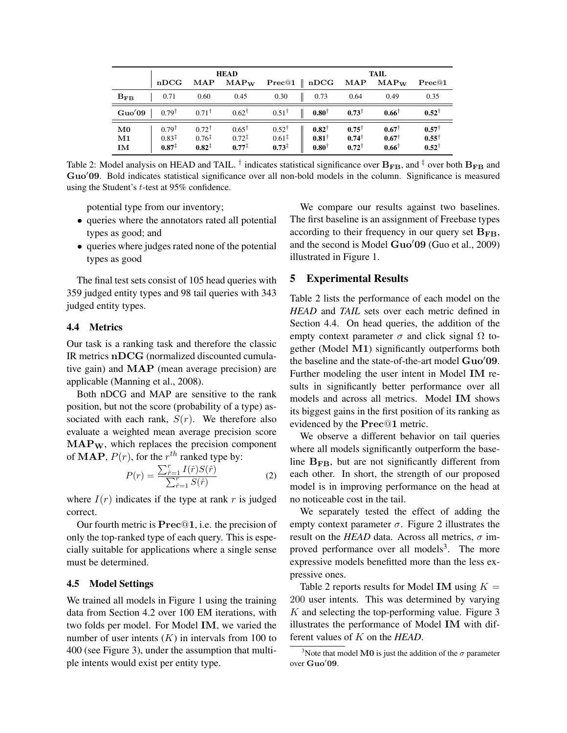|                                 | <b>HEAD</b>                                                |                                                            |                                                            |                                                            | TAIL                                             |                                                  |                                          |                                                          |
|---------------------------------|------------------------------------------------------------|------------------------------------------------------------|------------------------------------------------------------|------------------------------------------------------------|--------------------------------------------------|--------------------------------------------------|------------------------------------------|----------------------------------------------------------|
|                                 | nDCG                                                       | MAP                                                        | $MAP_W$                                                    | $\mathrm{Prec}@1$                                          | nDCG                                             | MAP                                              | $MAP_W$                                  | $\mathrm{Prec}@1$                                        |
| $B_{FB}$                        | 0.71                                                       | 0.60                                                       | 0.45                                                       | 0.30                                                       | 0.73                                             | 0.64                                             | 0.49                                     | 0.35                                                     |
| Guo'09                          | $0.79^{\dagger}$                                           | $0.71^{\dagger}$                                           | $0.62^{\dagger}$                                           | $0.51^{\dagger}$                                           | $0.80^{\dagger}$                                 | $0.73^{\dagger}$                                 | $0.66^{\dagger}$                         | $0.52^{\dagger}$                                         |
| $\bf M0$<br>$\mathbf{M1}$<br>IM | $0.79^{\dagger}$<br>$0.83^{\ddagger}$<br>$0.87^{\ddagger}$ | $0.72^{\dagger}$<br>$0.76^{\ddagger}$<br>$0.82^{\ddagger}$ | $0.65^{\dagger}$<br>$0.72^{\ddagger}$<br>$0.77^{\ddagger}$ | $0.52^{\dagger}$<br>$0.61^{\ddagger}$<br>$0.73^{\ddagger}$ | $0.82^{\dagger}$<br>$0.81^+$<br>$0.80^{\dagger}$ | $0.75^{\dagger}$<br>$0.74^{\dagger}$<br>$0.72^+$ | $0.67^+$<br>$0.67^+$<br>$0.66^{\dagger}$ | $0.57^{\dagger}$<br>$0.55^{\dagger}$<br>$0.52^{\dagger}$ |

Table 2: Model analysis on HEAD and TAIL. <sup>†</sup> indicates statistical significance over  $B_{FB}$ , and <sup>‡</sup> over both  $B_{FB}$  and Guo'09. Bold indicates statistical significance over all non-bold models in the column. Significance is measured using the Student's t-test at 95% confidence.

potential type from our inventory;

- queries where the annotators rated all potential types as good; and
- queries where judges rated none of the potential types as good

The final test sets consist of 105 head queries with 359 judged entity types and 98 tail queries with 343 judged entity types.

## 4.4 Metrics

Our task is a ranking task and therefore the classic IR metrics nDCG (normalized discounted cumulative gain) and MAP (mean average precision) are applicable (Manning et al., 2008).

Both nDCG and MAP are sensitive to the rank position, but not the score (probability of a type) associated with each rank,  $S(r)$ . We therefore also evaluate a weighted mean average precision score  $MAP_{W}$ , which replaces the precision component of **MAP**,  $P(r)$ , for the  $r^{th}$  ranked type by:

$$
P(r) = \frac{\sum_{\hat{r}=1}^{r} I(\hat{r}) S(\hat{r})}{\sum_{\hat{r}=1}^{r} S(\hat{r})}
$$
(2)

where  $I(r)$  indicates if the type at rank r is judged correct.

Our fourth metric is Prec@1, i.e. the precision of only the top-ranked type of each query. This is especially suitable for applications where a single sense must be determined.

#### 4.5 Model Settings

We trained all models in Figure 1 using the training data from Section 4.2 over 100 EM iterations, with two folds per model. For Model IM, we varied the number of user intents  $(K)$  in intervals from 100 to 400 (see Figure 3), under the assumption that multiple intents would exist per entity type.

We compare our results against two baselines. The first baseline is an assignment of Freebase types according to their frequency in our query set  $B_{FB}$ , and the second is Model  $Guo'09$  (Guo et al., 2009) illustrated in Figure 1.

## 5 Experimental Results

Table 2 lists the performance of each model on the *HEAD* and *TAIL* sets over each metric defined in Section 4.4. On head queries, the addition of the empty context parameter  $\sigma$  and click signal  $\Omega$  together (Model M1) significantly outperforms both the baseline and the state-of-the-art model  $Guo'09$ . Further modeling the user intent in Model IM results in significantly better performance over all models and across all metrics. Model IM shows its biggest gains in the first position of its ranking as evidenced by the Prec@1 metric.

We observe a different behavior on tail queries where all models significantly outperform the baseline  $B_{FB}$ , but are not significantly different from each other. In short, the strength of our proposed model is in improving performance on the head at no noticeable cost in the tail.

We separately tested the effect of adding the empty context parameter  $\sigma$ . Figure 2 illustrates the result on the *HEAD* data. Across all metrics,  $\sigma$  improved performance over all models<sup>3</sup>. The more expressive models benefitted more than the less expressive ones.

Table 2 reports results for Model IM using  $K =$ 200 user intents. This was determined by varying  $K$  and selecting the top-performing value. Figure 3 illustrates the performance of Model IM with different values of K on the *HEAD*.

<sup>&</sup>lt;sup>3</sup>Note that model **M0** is just the addition of the  $\sigma$  parameter over Guo'09.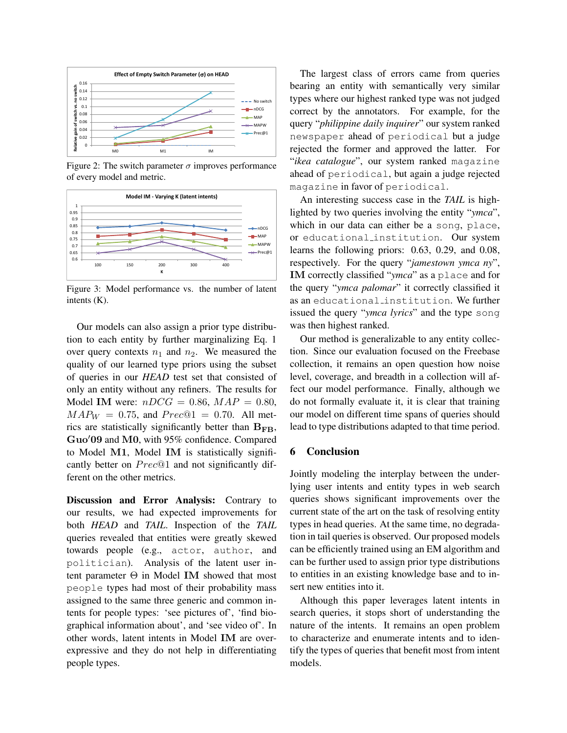

Figure 2: The switch parameter  $\sigma$  improves performance of every model and metric.



Figure 3: Model performance vs. the number of latent intents (K).

Our models can also assign a prior type distribution to each entity by further marginalizing Eq. 1 over query contexts  $n_1$  and  $n_2$ . We measured the quality of our learned type priors using the subset of queries in our *HEAD* test set that consisted of only an entity without any refiners. The results for Model IM were:  $nDCG = 0.86$ ,  $MAP = 0.80$ ,  $MAP_W = 0.75$ , and  $Prec@1 = 0.70$ . All metrics are statistically significantly better than  $B_{FB}$ , Guo'09 and M0, with 95% confidence. Compared to Model M1, Model IM is statistically significantly better on  $Prec@1$  and not significantly different on the other metrics.

Discussion and Error Analysis: Contrary to our results, we had expected improvements for both *HEAD* and *TAIL*. Inspection of the *TAIL* queries revealed that entities were greatly skewed towards people (e.g., actor, author, and politician). Analysis of the latent user intent parameter Θ in Model IM showed that most people types had most of their probability mass assigned to the same three generic and common intents for people types: 'see pictures of', 'find biographical information about', and 'see video of'. In other words, latent intents in Model IM are overexpressive and they do not help in differentiating people types.

The largest class of errors came from queries bearing an entity with semantically very similar types where our highest ranked type was not judged correct by the annotators. For example, for the query "*philippine daily inquirer*" our system ranked newspaper ahead of periodical but a judge rejected the former and approved the latter. For "*ikea catalogue*", our system ranked magazine ahead of periodical, but again a judge rejected magazine in favor of periodical.

An interesting success case in the *TAIL* is highlighted by two queries involving the entity "*ymca*", which in our data can either be a song, place, or educational institution. Our system learns the following priors: 0.63, 0.29, and 0.08, respectively. For the query "*jamestown ymca ny*", IM correctly classified "*ymca*" as a place and for the query "*ymca palomar*" it correctly classified it as an educational institution. We further issued the query "*ymca lyrics*" and the type song was then highest ranked.

Our method is generalizable to any entity collection. Since our evaluation focused on the Freebase collection, it remains an open question how noise level, coverage, and breadth in a collection will affect our model performance. Finally, although we do not formally evaluate it, it is clear that training our model on different time spans of queries should lead to type distributions adapted to that time period.

#### 6 Conclusion

Jointly modeling the interplay between the underlying user intents and entity types in web search queries shows significant improvements over the current state of the art on the task of resolving entity types in head queries. At the same time, no degradation in tail queries is observed. Our proposed models can be efficiently trained using an EM algorithm and can be further used to assign prior type distributions to entities in an existing knowledge base and to insert new entities into it.

Although this paper leverages latent intents in search queries, it stops short of understanding the nature of the intents. It remains an open problem to characterize and enumerate intents and to identify the types of queries that benefit most from intent models.